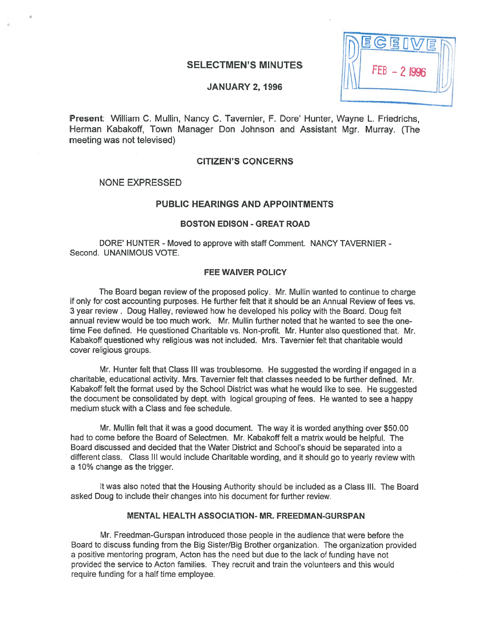

Present: William C. Mullin, Nancy C. Tavernier, F. Dore' Hunter, Wayne L. Friedrichs, Herman Kabakoff, Town Manager Don Johnson and Assistant Mgr. Murray. (The meeting was not televised)

# CITIZEN'S CONCERNS

#### NONE EXPRESSED

4

# PUBLIC HEARINGS AND APPOINTMENTS

#### BOSTON EDISON - GREAT ROAD

DORE' HUNTER - Moved to approve with staff Comment. NANCY TAVERNIER -Second. UNANIMOUS VOTE.

#### FEE WAIVER POLICY

The Board began review of the proposed policy. Mr. Mullin wanted to continue to charge if only for cost accounting purposes. He further felt that it should be an Annual Review of fees vs. 3 year review. Doug Halley, reviewed how he developed his policy with the Board. Doug felt annual review would be too much work. Mr. Mullin further noted that he wanted to see the one time Fee defined. He questioned Charitable vs. Non-profit. Mr. Hunter also questioned that. Mr. Kabakoff questioned why religious was not included. Mrs. Tavernier felt that charitable would cover religious groups.

Mr. Hunter felt that Class Ill was troublesome. He suggested the wording if engaged in <sup>a</sup> charitable, educational activity. Mrs. Tavernier felt that classes needed to be further defined. Mr. Kabakoff felt the format used by the School District was what he would like to see. He suggested the document be consolidated by dept. with logical grouping of fees. He wanted to see <sup>a</sup> happy medium stuck with <sup>a</sup> Class and fee schedule.

Mr. Mullin felt that it was <sup>a</sup> good document. The way it is worded anything over \$50.00 had to come before the Board of Selectmen. Mr. Kabakoff felt <sup>a</sup> matrix would be helpful. The Board discussed and decided that the Water District and School's should be separated into <sup>a</sup> different class. Class Ill would include Charitable wording, and it should go to yearly review with <sup>a</sup> 10% change as the trigger.

It was also noted that the Housing Authority should be included as <sup>a</sup> Class Ill. The Board asked Doug to include their changes into his document for further review.

# MENTAL HEALTH ASSOCIATION- MR. FREEDMAN-GURSPAN

Mr. Freedman-Gurspan introduced those people in the audience that were before the Board to discuss funding from the Big Sister/Big Brother organization. The organization provided <sup>a</sup> positive mentoring program, Acton has the need but due to the lack of funding have not provided the service to Acton families. They recruit and train the volunteers and this would require funding for a half time employee.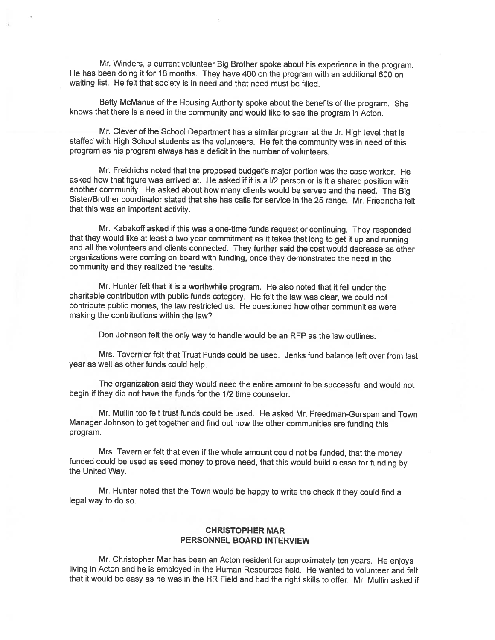Mr. Winders, <sup>a</sup> current volunteer Big Brother spoke about his experience in the program. He has been doing it for <sup>18</sup> months. They have <sup>400</sup> on the program with an additional <sup>600</sup> on waiting list. He felt that society is in need and that need must be filled.

Betty McManus of the Housing Authority spoke about the benefits of the program. She knows that there is <sup>a</sup> need in the community and would like to see the program in Acton.

Mr. Clever of the School Department has <sup>a</sup> similar program at the Jr. High level that is staffed with High School students as the volunteers. He felt the community was in need of this program as his program always has <sup>a</sup> deficit in the number of volunteers.

Mr. Freidrichs noted that the propose<sup>d</sup> budget's major portion was the case worker. He asked how that figure was arrived at. He asked if it is <sup>a</sup> 1/2 person or is it <sup>a</sup> shared position with another community. He asked about how many clients would be served and the need. The Big Sister/Brother coordinator stated that she has calls for service in the <sup>25</sup> range. Mr. Friedrichs felt that this was an important activity.

Mr. Kabakoff asked if this was <sup>a</sup> one-time funds reques<sup>t</sup> or continuing. They responded that they would like at least <sup>a</sup> two year commitment as it takes that long to ge<sup>t</sup> it up and running and all the volunteers and clients connected. They further said the cost would decrease as other organizations were coming on board with funding, once they demonstrated the need in the community and they realized the results.

Mr. Hunter felt that it is <sup>a</sup> worthwhile program. He also noted that it fell under the charitable contribution with public funds category. He felt the law was clear, we could not contribute public monies, the law restricted us. He questioned how other communities were making the contributions within the law?

Don Johnson felt the only way to handle would be an RFP as the law outlines.

Mrs. Tavernier felt that Trust Funds could be used. Jenks fund balance left over from last year as well as other funds could help.

The organization said they would need the entire amount to be successful and would not begin if they did not have the funds for the 1/2 time counselor.

Mr. Mullin too felt trust funds could be used. He asked Mr. Freedman-Gurspan and Town Manager Johnson to ge<sup>t</sup> together and find out how the other communities are funding this program.

Mrs. Tavernier felt that even if the whole amount could not be funded, that the money funded could be used as seed money to prove need, that this would build <sup>a</sup> case for funding by the United Way.

Mr. Hunter noted that the Town would be happy to write the check if they could find <sup>a</sup> legal way to do so.

# CHRISTOPHER MAR PERSONNEL BOARD INTERVIEW

Mc. Christopher Mat has been an Acton resident for approximately ten years. He enjoys living in Acton and he is employed in the Human Resources field. He wanted to volunteer and felt that it would be easy as he was in the HR Field and had the right skills to offer. Mr. Mullin asked if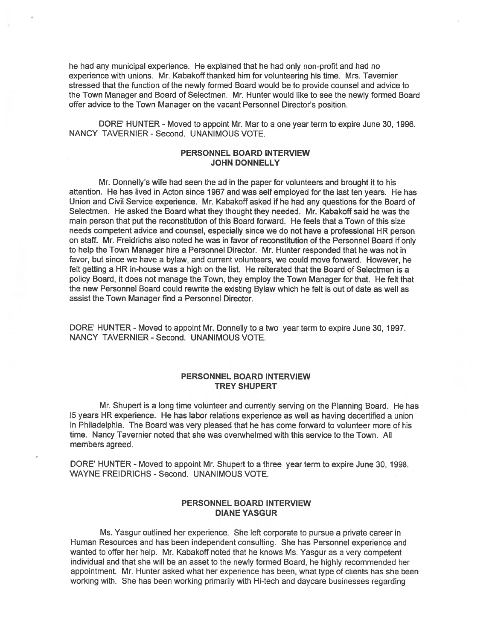he had any municipal experience. He explained that he had only non-profit and had no experience with unions. Mr. Kabakoff thanked him for volunteering his time. Mrs. Tavernier stressed that the function of the newly formed Board would be to provide counsel and advice to the Town Manager and Board of Selectmen. Mr. Hunter would like to see the newly formed Board offer advice to the Town Manager on the vacant Personnel Director's position.

DORE' HUNTER - Moved to appoint Mr. Mar to a one year term to expire June 30, 1996. NANCY TAVERNIER -Second. UNANIMOUS VOTE.

### PERSONNEL BOARD INTERVIEW JOHN DONNELLY

Mt. Donnelly's wife had seen the ad in the paper for volunteers and brought it to his attention. He has lived in Acton since 1967 and was self employed for the last ten years. He has Union and Civil Service experience. Mr. Kabakoff asked if he had any questions for the Board of Selectmen. He asked the Board what they thought they needed. Mr. Kabakoff said he was the main person that pu<sup>t</sup> the reconstitution of this Board forward. He feels that <sup>a</sup> Town of this size needs competent advice and counsel, especially since we do not have <sup>a</sup> professional HR person on staff. Mr. Freidrichs also noted he was in favor of reconstitution of the Personnel Board if only to help the Town Manager hire <sup>a</sup> Personnel Director. Mr. Hunter responded that he was not in favor, but since we have <sup>a</sup> bylaw, and current volunteers, we could move forward. However, he felt getting <sup>a</sup> HR in-house was <sup>a</sup> high on the list. He reiterated that the Board of Selectmen is <sup>a</sup> policy Board, it does not manage the Town, they employ the Town Manager for that. He felt that the new Personnel Board could rewrite the existing Bylaw which he felt is out of date as well as assist the Town Manager find <sup>a</sup> Personnel Director.

DORE' HUNTER -Moved to appoint Mr. Donnelly to <sup>a</sup> two year term to expire June 30, 1997. NANCY TAVERNIER - Second. UNANIMOUS VOTE.

#### PERSONNEL BOARD INTERVIEW TREY SHUPERT

Mr. Shupert is <sup>a</sup> long time volunteer and currently serving on the Planning Board. He has 15 years HR experience. He has labor relations experience as well as having decertified <sup>a</sup> union in Philadelphia. The Board was very pleased that he has come forward to volunteer more of his time. Nancy Tavernier noted that she was overwhelmed with this service to the Town. All members agreed.

DORE' HUNTER - Moved to appoint Mr. Shupert to <sup>a</sup> three year term to expire June 30, 1998. WAYNE FREIDRICHS - Second. UNANIMOUS VOTE.

### PERSONNEL BOARD INTERVIEW DIANE YASGUR

Ms. Yasgur outlined her experience. She left corporate to pursue <sup>a</sup> private career in Human Resources and has been independent consulting. She has Personnel experience and wanted to offer her help. Mr. Kabakoff noted that he knows Ms. Yasgur as <sup>a</sup> very competent individual and that she will be an asset to the newly formed Board, he highly recommended her appointment. Mr. Hunter asked what her experience has been, what type of clients has she been working with. She has been working primarily with Hi-tech and daycare businesses regarding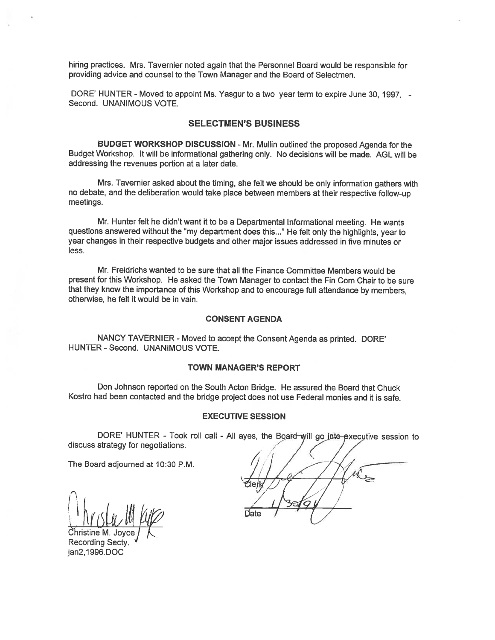hiring practices. Mrs. Tavernier noted again that the Personnel Board would be responsible for providing advice and counsel to the Town Manager and the Board of Selectmen.

DORE' HUNTER - Moved to appoint Ms. Yasgur to a two year term to expire June 30, 1997. -Second. UNANIMOUS VOTE.

### SELECTMEN'S BUSINESS

BUDGET WORKSHOP DISCUSSION - Mr. Mullin outlined the proposed Agenda for the Budget Workshop. It will be informational gathering only. No decisions will be made. AGL will be addressing the revenues portion at <sup>a</sup> later date.

Mrs. Tavernier asked about the timing, she felt we should be only information gathers with no debate, and the deliberation would take <sup>p</sup>lace between members at their respective follow-up meetings.

Mr. Hunter felt he didn't want it to be <sup>a</sup> Departmental Informational meeting. He wants questions answered without the "my department does this..." He felt only the highlights, year to year changes in their respective budgets and other major issues addressed in five minutes or less.

Mr. Freidrichs wanted to be sure that all the Finance Committee Members would be present for this Workshop. He asked the Town Manager to contact the Fin Com Chair to be sure that they know the importance of this Workshop and to encourage full attendance by members, otherwise, he felt it would be in vain.

#### CONSENT AGENDA

NANCY TAVERNIER - Moved to accept the Consent Agenda as printed. DORE' HUNTER - Second. UNANIMOUS VOTE.

### TOWN MANAGER'S REPORT

Don Johnson reported on the South Acton Bridge. He assured the Board that Chuck Kostro had been contacted and the bridge project does not use Federal monies and it is safe.

#### EXECUTIVE SESSION

DORE' HUNTER - Took roll call - All ayes, the Board will go into-executive session to discuss strategy for negotiations.

The Board adjourned at 10:30 P.M.

 $0$   $\bigcup_{\text{Christine M. Joyce}}$ 

Recording Secty. ian2, 1996.DOC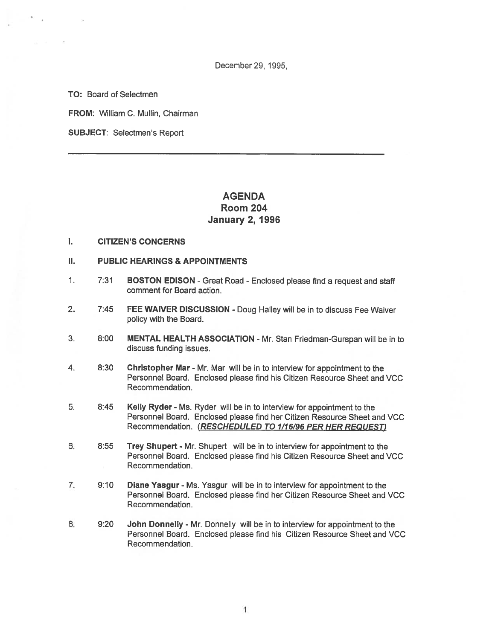December 29, 1995,

TO: Board of Selectmen

FROM: William C. Mullin, Chairman

SUBJECT: Selectmen's Report

# AGENDA Room 204 January 2, 1996

#### I. CITIZEN'S CONCERNS

- II. PUBLIC HEARINGS & APPOINTMENTS
- 1. 7:31 BOSTON EDISON Great Road Enclosed please find a request and staff comment for Board action.
- 2. 7:45 FEE WAIVER DISCUSSION Doug Halley will be in to discuss Fee Waiver policy with the Board.
- 3. 8:00 MENTAL HEALTH ASSOCIATION Mr. Stan Friedman-Gurspan will be in to discuss funding issues.
- 4. 8:30 Christopher Mar Mr. Mar will be in to interview for appointment to the Personnel Board. Enclosed please find his Citizen Resource Sheet and VCC Recommendation.
- 5. 8:45 Kelly Ryder Ms. Ryder will be in to interview for appointment to the Personnel Board. Enclosed please find her Citizen Resource Sheet and VCC Recommendation. (RESCHEDULED TO 1/16/96 PER HER REQUEST)
- 6. 8:55 Trey Shupert Mr. Shupert will be in to interview for appointment to the Personnel Board. Enclosed please find his Citizen Resource Sheet and VCC Recommendation.
- 7. 9:10 Diane Yasgur Ms. Yasgur will be in to interview for appointment to the Personnel Board. Enclosed please find her Citizen Resource Sheet and VCC Recommendation.
- 8. 9:20 John Donnelly Mr. Donnelly will be in to interview for appointment to the Personnel Board. Enclosed please find his Citizen Resource Sheet and VCC Recommendation.